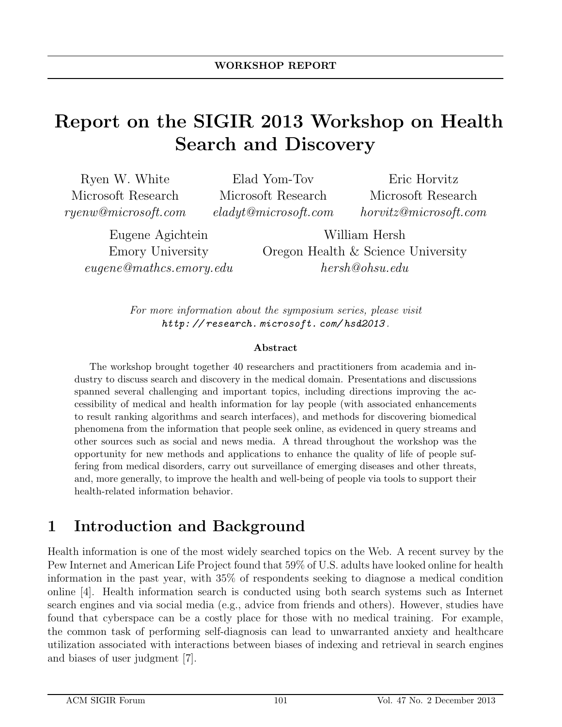# Report on the SIGIR 2013 Workshop on Health Search and Discovery

Ryen W. White Microsoft Research ryenw@microsoft.com

Elad Yom-Tov Microsoft Research eladyt@microsoft.com

Eric Horvitz Microsoft Research horvitz@microsoft.com

Eugene Agichtein Emory University eugene@mathcs.emory.edu William Hersh Oregon Health & Science University hersh@ohsu.edu

> For more information about the symposium series, please visit *http: // research. microsoft. com/ hsd2013* .

#### Abstract

The workshop brought together 40 researchers and practitioners from academia and industry to discuss search and discovery in the medical domain. Presentations and discussions spanned several challenging and important topics, including directions improving the accessibility of medical and health information for lay people (with associated enhancements to result ranking algorithms and search interfaces), and methods for discovering biomedical phenomena from the information that people seek online, as evidenced in query streams and other sources such as social and news media. A thread throughout the workshop was the opportunity for new methods and applications to enhance the quality of life of people suffering from medical disorders, carry out surveillance of emerging diseases and other threats, and, more generally, to improve the health and well-being of people via tools to support their health-related information behavior.

## 1 Introduction and Background

Health information is one of the most widely searched topics on the Web. A recent survey by the Pew Internet and American Life Project found that 59% of U.S. adults have looked online for health information in the past year, with 35% of respondents seeking to diagnose a medical condition online [4]. Health information search is conducted using both search systems such as Internet search engines and via social media (e.g., advice from friends and others). However, studies have found that cyberspace can be a costly place for those with no medical training. For example, the common task of performing self-diagnosis can lead to unwarranted anxiety and healthcare utilization associated with interactions between biases of indexing and retrieval in search engines and biases of user judgment [7].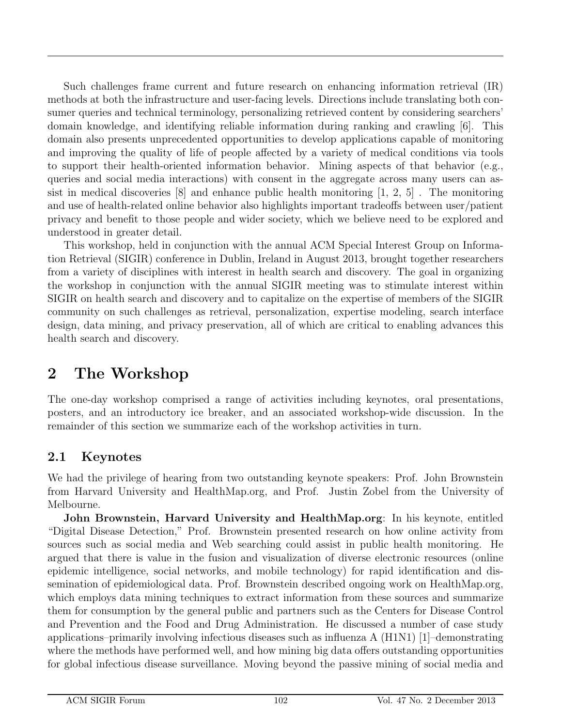Such challenges frame current and future research on enhancing information retrieval (IR) methods at both the infrastructure and user-facing levels. Directions include translating both consumer queries and technical terminology, personalizing retrieved content by considering searchers' domain knowledge, and identifying reliable information during ranking and crawling [6]. This domain also presents unprecedented opportunities to develop applications capable of monitoring and improving the quality of life of people affected by a variety of medical conditions via tools to support their health-oriented information behavior. Mining aspects of that behavior (e.g., queries and social media interactions) with consent in the aggregate across many users can assist in medical discoveries  $[8]$  and enhance public health monitoring  $[1, 2, 5]$ . The monitoring and use of health-related online behavior also highlights important tradeoffs between user/patient privacy and benefit to those people and wider society, which we believe need to be explored and understood in greater detail.

This workshop, held in conjunction with the annual ACM Special Interest Group on Information Retrieval (SIGIR) conference in Dublin, Ireland in August 2013, brought together researchers from a variety of disciplines with interest in health search and discovery. The goal in organizing the workshop in conjunction with the annual SIGIR meeting was to stimulate interest within SIGIR on health search and discovery and to capitalize on the expertise of members of the SIGIR community on such challenges as retrieval, personalization, expertise modeling, search interface design, data mining, and privacy preservation, all of which are critical to enabling advances this health search and discovery.

### 2 The Workshop

The one-day workshop comprised a range of activities including keynotes, oral presentations, posters, and an introductory ice breaker, and an associated workshop-wide discussion. In the remainder of this section we summarize each of the workshop activities in turn.

#### 2.1 Keynotes

We had the privilege of hearing from two outstanding keynote speakers: Prof. John Brownstein from Harvard University and HealthMap.org, and Prof. Justin Zobel from the University of Melbourne.

John Brownstein, Harvard University and HealthMap.org: In his keynote, entitled "Digital Disease Detection," Prof. Brownstein presented research on how online activity from sources such as social media and Web searching could assist in public health monitoring. He argued that there is value in the fusion and visualization of diverse electronic resources (online epidemic intelligence, social networks, and mobile technology) for rapid identification and dissemination of epidemiological data. Prof. Brownstein described ongoing work on HealthMap.org, which employs data mining techniques to extract information from these sources and summarize them for consumption by the general public and partners such as the Centers for Disease Control and Prevention and the Food and Drug Administration. He discussed a number of case study applications–primarily involving infectious diseases such as influenza A (H1N1) [1]–demonstrating where the methods have performed well, and how mining big data offers outstanding opportunities for global infectious disease surveillance. Moving beyond the passive mining of social media and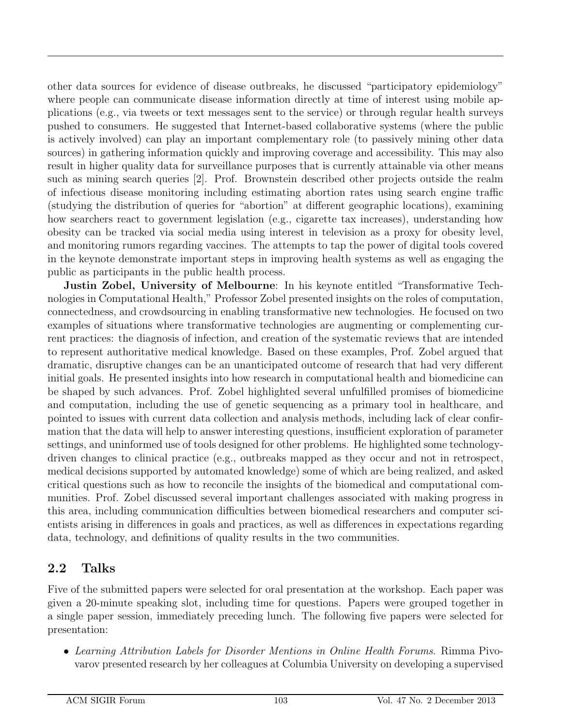other data sources for evidence of disease outbreaks, he discussed "participatory epidemiology" where people can communicate disease information directly at time of interest using mobile applications (e.g., via tweets or text messages sent to the service) or through regular health surveys pushed to consumers. He suggested that Internet-based collaborative systems (where the public is actively involved) can play an important complementary role (to passively mining other data sources) in gathering information quickly and improving coverage and accessibility. This may also result in higher quality data for surveillance purposes that is currently attainable via other means such as mining search queries [2]. Prof. Brownstein described other projects outside the realm of infectious disease monitoring including estimating abortion rates using search engine traffic (studying the distribution of queries for "abortion" at different geographic locations), examining how searchers react to government legislation (e.g., cigarette tax increases), understanding how obesity can be tracked via social media using interest in television as a proxy for obesity level, and monitoring rumors regarding vaccines. The attempts to tap the power of digital tools covered in the keynote demonstrate important steps in improving health systems as well as engaging the public as participants in the public health process.

Justin Zobel, University of Melbourne: In his keynote entitled "Transformative Technologies in Computational Health," Professor Zobel presented insights on the roles of computation, connectedness, and crowdsourcing in enabling transformative new technologies. He focused on two examples of situations where transformative technologies are augmenting or complementing current practices: the diagnosis of infection, and creation of the systematic reviews that are intended to represent authoritative medical knowledge. Based on these examples, Prof. Zobel argued that dramatic, disruptive changes can be an unanticipated outcome of research that had very different initial goals. He presented insights into how research in computational health and biomedicine can be shaped by such advances. Prof. Zobel highlighted several unfulfilled promises of biomedicine and computation, including the use of genetic sequencing as a primary tool in healthcare, and pointed to issues with current data collection and analysis methods, including lack of clear confirmation that the data will help to answer interesting questions, insufficient exploration of parameter settings, and uninformed use of tools designed for other problems. He highlighted some technologydriven changes to clinical practice (e.g., outbreaks mapped as they occur and not in retrospect, medical decisions supported by automated knowledge) some of which are being realized, and asked critical questions such as how to reconcile the insights of the biomedical and computational communities. Prof. Zobel discussed several important challenges associated with making progress in this area, including communication difficulties between biomedical researchers and computer scientists arising in differences in goals and practices, as well as differences in expectations regarding data, technology, and definitions of quality results in the two communities.

#### 2.2 Talks

Five of the submitted papers were selected for oral presentation at the workshop. Each paper was given a 20-minute speaking slot, including time for questions. Papers were grouped together in a single paper session, immediately preceding lunch. The following five papers were selected for presentation:

• Learning Attribution Labels for Disorder Mentions in Online Health Forums. Rimma Pivovarov presented research by her colleagues at Columbia University on developing a supervised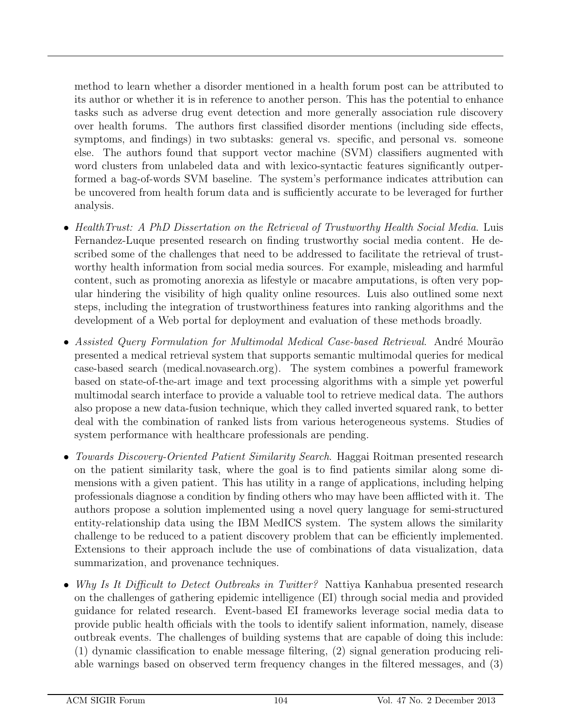method to learn whether a disorder mentioned in a health forum post can be attributed to its author or whether it is in reference to another person. This has the potential to enhance tasks such as adverse drug event detection and more generally association rule discovery over health forums. The authors first classified disorder mentions (including side effects, symptoms, and findings) in two subtasks: general vs. specific, and personal vs. someone else. The authors found that support vector machine (SVM) classifiers augmented with word clusters from unlabeled data and with lexico-syntactic features significantly outperformed a bag-of-words SVM baseline. The system's performance indicates attribution can be uncovered from health forum data and is sufficiently accurate to be leveraged for further analysis.

- Health Trust: A PhD Dissertation on the Retrieval of Trustworthy Health Social Media. Luis Fernandez-Luque presented research on finding trustworthy social media content. He described some of the challenges that need to be addressed to facilitate the retrieval of trustworthy health information from social media sources. For example, misleading and harmful content, such as promoting anorexia as lifestyle or macabre amputations, is often very popular hindering the visibility of high quality online resources. Luis also outlined some next steps, including the integration of trustworthiness features into ranking algorithms and the development of a Web portal for deployment and evaluation of these methods broadly.
- Assisted Query Formulation for Multimodal Medical Case-based Retrieval. André Mourão presented a medical retrieval system that supports semantic multimodal queries for medical case-based search (medical.novasearch.org). The system combines a powerful framework based on state-of-the-art image and text processing algorithms with a simple yet powerful multimodal search interface to provide a valuable tool to retrieve medical data. The authors also propose a new data-fusion technique, which they called inverted squared rank, to better deal with the combination of ranked lists from various heterogeneous systems. Studies of system performance with healthcare professionals are pending.
- Towards Discovery-Oriented Patient Similarity Search. Haggai Roitman presented research on the patient similarity task, where the goal is to find patients similar along some dimensions with a given patient. This has utility in a range of applications, including helping professionals diagnose a condition by finding others who may have been afflicted with it. The authors propose a solution implemented using a novel query language for semi-structured entity-relationship data using the IBM MedICS system. The system allows the similarity challenge to be reduced to a patient discovery problem that can be efficiently implemented. Extensions to their approach include the use of combinations of data visualization, data summarization, and provenance techniques.
- Why Is It Difficult to Detect Outbreaks in Twitter? Nattiya Kanhabua presented research on the challenges of gathering epidemic intelligence (EI) through social media and provided guidance for related research. Event-based EI frameworks leverage social media data to provide public health officials with the tools to identify salient information, namely, disease outbreak events. The challenges of building systems that are capable of doing this include: (1) dynamic classification to enable message filtering, (2) signal generation producing reliable warnings based on observed term frequency changes in the filtered messages, and (3)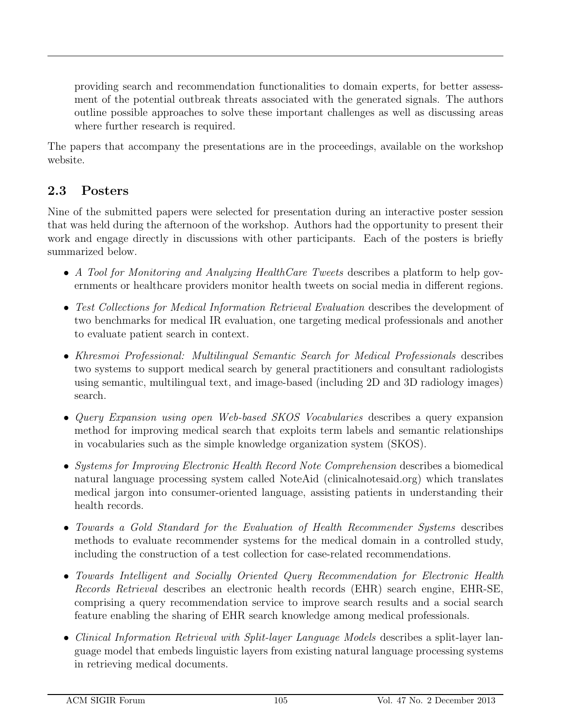providing search and recommendation functionalities to domain experts, for better assessment of the potential outbreak threats associated with the generated signals. The authors outline possible approaches to solve these important challenges as well as discussing areas where further research is required.

The papers that accompany the presentations are in the proceedings, available on the workshop website.

### 2.3 Posters

Nine of the submitted papers were selected for presentation during an interactive poster session that was held during the afternoon of the workshop. Authors had the opportunity to present their work and engage directly in discussions with other participants. Each of the posters is briefly summarized below.

- A Tool for Monitoring and Analyzing HealthCare Tweets describes a platform to help governments or healthcare providers monitor health tweets on social media in different regions.
- Test Collections for Medical Information Retrieval Evaluation describes the development of two benchmarks for medical IR evaluation, one targeting medical professionals and another to evaluate patient search in context.
- Khresmoi Professional: Multilingual Semantic Search for Medical Professionals describes two systems to support medical search by general practitioners and consultant radiologists using semantic, multilingual text, and image-based (including 2D and 3D radiology images) search.
- Query Expansion using open Web-based SKOS Vocabularies describes a query expansion method for improving medical search that exploits term labels and semantic relationships in vocabularies such as the simple knowledge organization system (SKOS).
- Systems for Improving Electronic Health Record Note Comprehension describes a biomedical natural language processing system called NoteAid (clinicalnotesaid.org) which translates medical jargon into consumer-oriented language, assisting patients in understanding their health records.
- Towards a Gold Standard for the Evaluation of Health Recommender Systems describes methods to evaluate recommender systems for the medical domain in a controlled study, including the construction of a test collection for case-related recommendations.
- Towards Intelligent and Socially Oriented Query Recommendation for Electronic Health Records Retrieval describes an electronic health records (EHR) search engine, EHR-SE, comprising a query recommendation service to improve search results and a social search feature enabling the sharing of EHR search knowledge among medical professionals.
- Clinical Information Retrieval with Split-layer Language Models describes a split-layer language model that embeds linguistic layers from existing natural language processing systems in retrieving medical documents.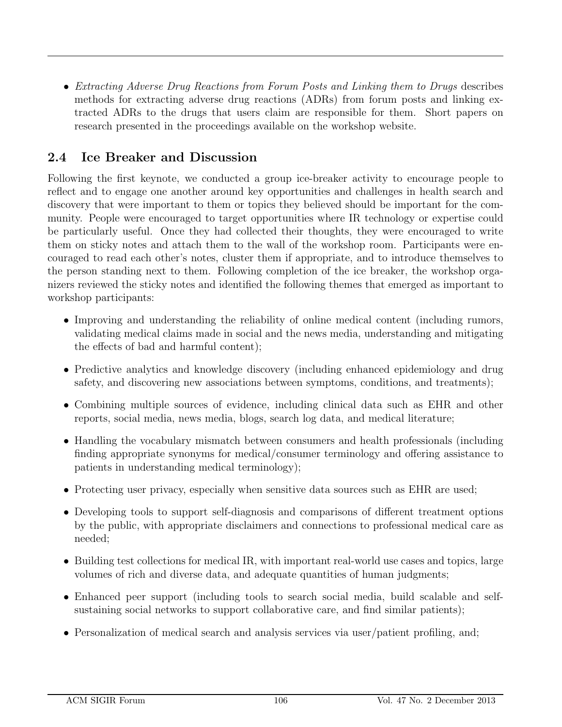• Extracting Adverse Drug Reactions from Forum Posts and Linking them to Drugs describes methods for extracting adverse drug reactions (ADRs) from forum posts and linking extracted ADRs to the drugs that users claim are responsible for them. Short papers on research presented in the proceedings available on the workshop website.

#### 2.4 Ice Breaker and Discussion

Following the first keynote, we conducted a group ice-breaker activity to encourage people to reflect and to engage one another around key opportunities and challenges in health search and discovery that were important to them or topics they believed should be important for the community. People were encouraged to target opportunities where IR technology or expertise could be particularly useful. Once they had collected their thoughts, they were encouraged to write them on sticky notes and attach them to the wall of the workshop room. Participants were encouraged to read each other's notes, cluster them if appropriate, and to introduce themselves to the person standing next to them. Following completion of the ice breaker, the workshop organizers reviewed the sticky notes and identified the following themes that emerged as important to workshop participants:

- Improving and understanding the reliability of online medical content (including rumors, validating medical claims made in social and the news media, understanding and mitigating the effects of bad and harmful content);
- Predictive analytics and knowledge discovery (including enhanced epidemiology and drug safety, and discovering new associations between symptoms, conditions, and treatments);
- Combining multiple sources of evidence, including clinical data such as EHR and other reports, social media, news media, blogs, search log data, and medical literature;
- Handling the vocabulary mismatch between consumers and health professionals (including finding appropriate synonyms for medical/consumer terminology and offering assistance to patients in understanding medical terminology);
- Protecting user privacy, especially when sensitive data sources such as EHR are used;
- Developing tools to support self-diagnosis and comparisons of different treatment options by the public, with appropriate disclaimers and connections to professional medical care as needed;
- Building test collections for medical IR, with important real-world use cases and topics, large volumes of rich and diverse data, and adequate quantities of human judgments;
- Enhanced peer support (including tools to search social media, build scalable and selfsustaining social networks to support collaborative care, and find similar patients);
- Personalization of medical search and analysis services via user/patient profiling, and;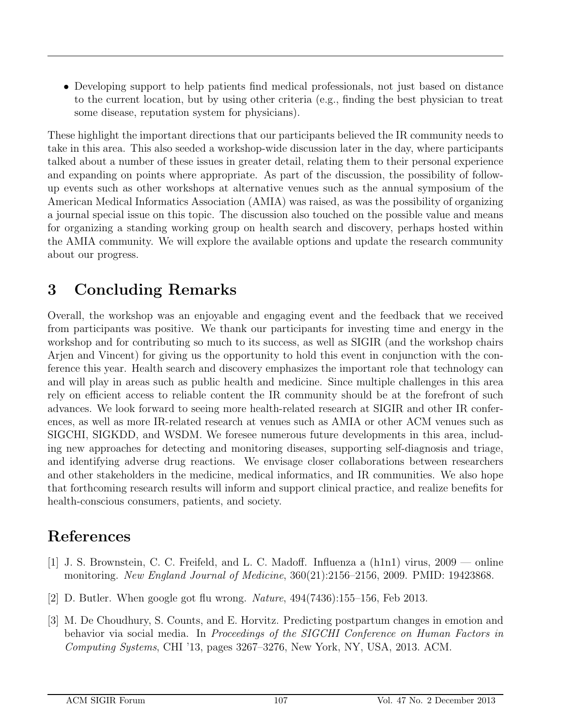• Developing support to help patients find medical professionals, not just based on distance to the current location, but by using other criteria (e.g., finding the best physician to treat some disease, reputation system for physicians).

These highlight the important directions that our participants believed the IR community needs to take in this area. This also seeded a workshop-wide discussion later in the day, where participants talked about a number of these issues in greater detail, relating them to their personal experience and expanding on points where appropriate. As part of the discussion, the possibility of followup events such as other workshops at alternative venues such as the annual symposium of the American Medical Informatics Association (AMIA) was raised, as was the possibility of organizing a journal special issue on this topic. The discussion also touched on the possible value and means for organizing a standing working group on health search and discovery, perhaps hosted within the AMIA community. We will explore the available options and update the research community about our progress.

### 3 Concluding Remarks

Overall, the workshop was an enjoyable and engaging event and the feedback that we received from participants was positive. We thank our participants for investing time and energy in the workshop and for contributing so much to its success, as well as SIGIR (and the workshop chairs Arjen and Vincent) for giving us the opportunity to hold this event in conjunction with the conference this year. Health search and discovery emphasizes the important role that technology can and will play in areas such as public health and medicine. Since multiple challenges in this area rely on efficient access to reliable content the IR community should be at the forefront of such advances. We look forward to seeing more health-related research at SIGIR and other IR conferences, as well as more IR-related research at venues such as AMIA or other ACM venues such as SIGCHI, SIGKDD, and WSDM. We foresee numerous future developments in this area, including new approaches for detecting and monitoring diseases, supporting self-diagnosis and triage, and identifying adverse drug reactions. We envisage closer collaborations between researchers and other stakeholders in the medicine, medical informatics, and IR communities. We also hope that forthcoming research results will inform and support clinical practice, and realize benefits for health-conscious consumers, patients, and society.

### References

- [1] J. S. Brownstein, C. C. Freifeld, and L. C. Madoff. Influenza a (h1n1) virus, 2009 online monitoring. New England Journal of Medicine, 360(21):2156–2156, 2009. PMID: 19423868.
- [2] D. Butler. When google got flu wrong.  $Nature$ ,  $494(7436)$ : 155–156, Feb 2013.
- [3] M. De Choudhury, S. Counts, and E. Horvitz. Predicting postpartum changes in emotion and behavior via social media. In *Proceedings of the SIGCHI Conference on Human Factors in* Computing Systems, CHI '13, pages 3267–3276, New York, NY, USA, 2013. ACM.